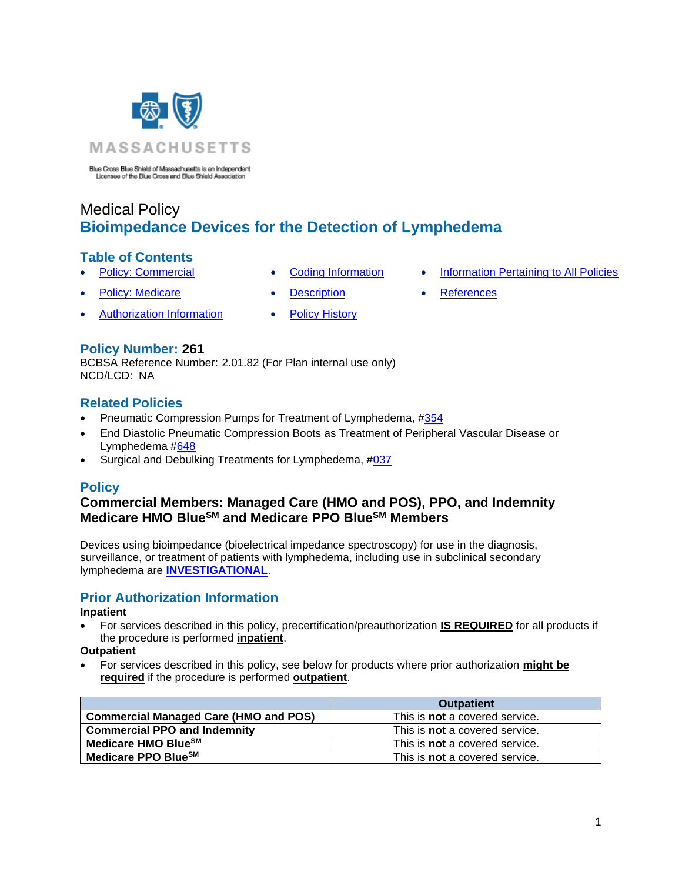

Blue Cross Blue Shield of Massachusetts is an Independent Licensee of the Blue Cross and Blue Shield Association

# Medical Policy **Bioimpedance Devices for the Detection of Lymphedema**

## **Table of Contents**

- 
- 
- **[Policy: Commercial](#page-0-0) [Coding Information](#page-0-1) [Information Pertaining to All Policies](#page-3-0)**
- **[Policy: Medicare](#page-0-0) Conserversity Conserversity Conserversity Conserversity Conserversity Conserversity Conserversity Conserversity Conserversity Conserversity Conserversity Conserversity Conserversity Conserversity Conser** 
	- [Authorization Information](#page-0-2) [Policy History](#page-2-0)
- 
- 
- 

## **Policy Number: 261**

BCBSA Reference Number: 2.01.82 (For Plan internal use only) NCD/LCD: NA

## **Related Policies**

- Pneumatic Compression Pumps for Treatment of Lymphedema, [#354](http://www.bluecrossma.org/medical-policies/sites/g/files/csphws2091/files/acquiadam-assets/354%20Pneumatic%20Compression%20Pumps%20for%20Treatment%20of%20Lymphedema%20and%20Venous%20Ulcers%20prn.pdf)
- End Diastolic Pneumatic Compression Boots as Treatment of Peripheral Vascular Disease or Lymphedema [#648](http://www.bluecrossma.org/medical-policies/sites/g/files/csphws2091/files/acquiadam-assets/648%20End-Diastolic%20Pneumatic%20Compression%20Boot%20as%20a%20Treatment%20of%20Peripheral%20Vascular%20Disease%20or%20Lymphedema%20prn.pdf#page=1)
- <span id="page-0-0"></span>• Surgical and Debulking Treatments for Lymphedema, [#037](https://www.bluecrossma.org/medical-policies/sites/g/files/csphws2091/files/acquiadam-assets/037%20Surgical%20and%20Debulking%20Treatments%20for%20Lymphedema%20prn.pdf)

## **Policy**

## **Commercial Members: Managed Care (HMO and POS), PPO, and Indemnity Medicare HMO BlueSM and Medicare PPO BlueSM Members**

Devices using bioimpedance (bioelectrical impedance spectroscopy) for use in the diagnosis, surveillance, or treatment of patients with lymphedema, including use in subclinical secondary lymphedema are **[INVESTIGATIONAL](https://www.bluecrossma.org/medical-policies/sites/g/files/csphws2091/files/acquiadam-assets/Definition%20of%20Med%20Nec%20Inv%20Not%20Med%20Nec%20prn.pdf#page=1)**.

## <span id="page-0-2"></span>**Prior Authorization Information**

#### **Inpatient**

• For services described in this policy, precertification/preauthorization **IS REQUIRED** for all products if the procedure is performed **inpatient**.

### **Outpatient**

• For services described in this policy, see below for products where prior authorization **might be required** if the procedure is performed **outpatient**.

<span id="page-0-1"></span>

|                                              | <b>Outpatient</b>                     |
|----------------------------------------------|---------------------------------------|
| <b>Commercial Managed Care (HMO and POS)</b> | This is <b>not</b> a covered service. |
| <b>Commercial PPO and Indemnity</b>          | This is <b>not</b> a covered service. |
| Medicare HMO BlueSM                          | This is <b>not</b> a covered service. |
| Medicare PPO Blue <sup>SM</sup>              | This is <b>not</b> a covered service. |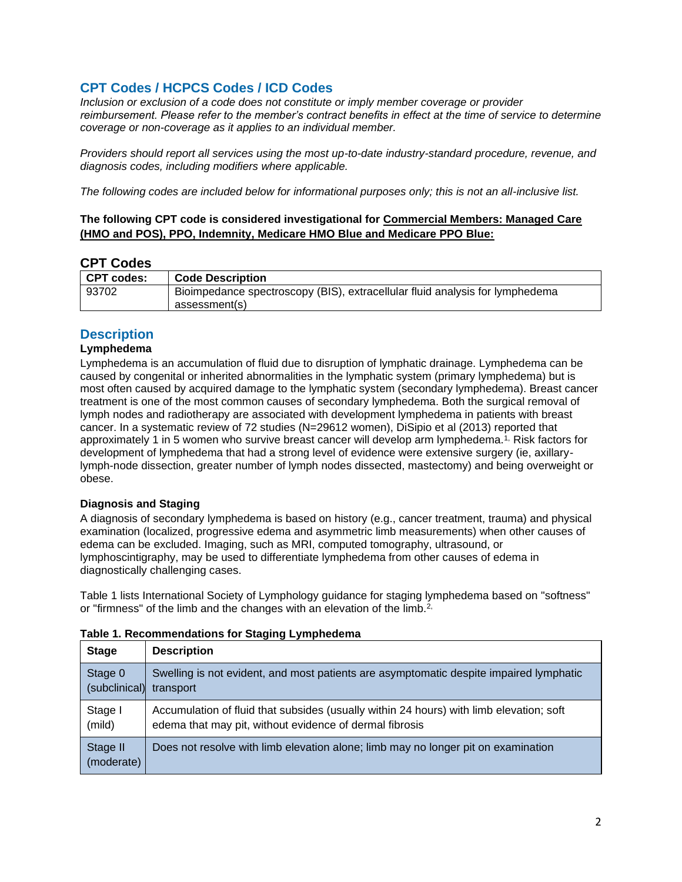## **CPT Codes / HCPCS Codes / ICD Codes**

*Inclusion or exclusion of a code does not constitute or imply member coverage or provider reimbursement. Please refer to the member's contract benefits in effect at the time of service to determine coverage or non-coverage as it applies to an individual member.*

*Providers should report all services using the most up-to-date industry-standard procedure, revenue, and diagnosis codes, including modifiers where applicable.*

*The following codes are included below for informational purposes only; this is not an all-inclusive list.*

### **The following CPT code is considered investigational for Commercial Members: Managed Care (HMO and POS), PPO, Indemnity, Medicare HMO Blue and Medicare PPO Blue:**

## **CPT Codes**

| <b>CPT codes:</b> | <b>Code Description</b>                                                      |
|-------------------|------------------------------------------------------------------------------|
| 93702             | Bioimpedance spectroscopy (BIS), extracellular fluid analysis for lymphedema |
|                   | assessment(s)                                                                |

## <span id="page-1-0"></span>**Description**

### **Lymphedema**

Lymphedema is an accumulation of fluid due to disruption of lymphatic drainage. Lymphedema can be caused by congenital or inherited abnormalities in the lymphatic system (primary lymphedema) but is most often caused by acquired damage to the lymphatic system (secondary lymphedema). Breast cancer treatment is one of the most common causes of secondary lymphedema. Both the surgical removal of lymph nodes and radiotherapy are associated with development lymphedema in patients with breast cancer. In a systematic review of 72 studies (N=29612 women), DiSipio et al (2013) reported that approximately 1 in 5 women who survive breast cancer will develop arm lymphedema.<sup>[1,](https://www.evidencepositioningsystem.com/_w_821be0f297bc995bf92abf2518f3b50751f7497f7d62c61c/bcbsa_html/BCBSA/html/_blank)</sup> Risk factors for development of lymphedema that had a strong level of evidence were extensive surgery (ie, axillarylymph-node dissection, greater number of lymph nodes dissected, mastectomy) and being overweight or obese.

#### **Diagnosis and Staging**

A diagnosis of secondary lymphedema is based on history (e.g., cancer treatment, trauma) and physical examination (localized, progressive edema and asymmetric limb measurements) when other causes of edema can be excluded. Imaging, such as MRI, computed tomography, ultrasound, or lymphoscintigraphy, may be used to differentiate lymphedema from other causes of edema in diagnostically challenging cases.

Table 1 lists International Society of Lymphology guidance for staging lymphedema based on "softness" or "firmness" of the limb and the changes with an elevation of the limb.<sup>[2,](https://www.evidencepositioningsystem.com/_w_821be0f297bc995bf92abf2518f3b50751f7497f7d62c61c/bcbsa_html/BCBSA/html/_blank)</sup>

| <b>Stage</b>           | <b>Description</b>                                                                      |
|------------------------|-----------------------------------------------------------------------------------------|
| Stage 0                | Swelling is not evident, and most patients are asymptomatic despite impaired lymphatic  |
| (subclinical)          | transport                                                                               |
| Stage I                | Accumulation of fluid that subsides (usually within 24 hours) with limb elevation; soft |
| (mild)                 | edema that may pit, without evidence of dermal fibrosis                                 |
| Stage II<br>(moderate) | Does not resolve with limb elevation alone; limb may no longer pit on examination       |

#### **Table 1. Recommendations for Staging Lymphedema**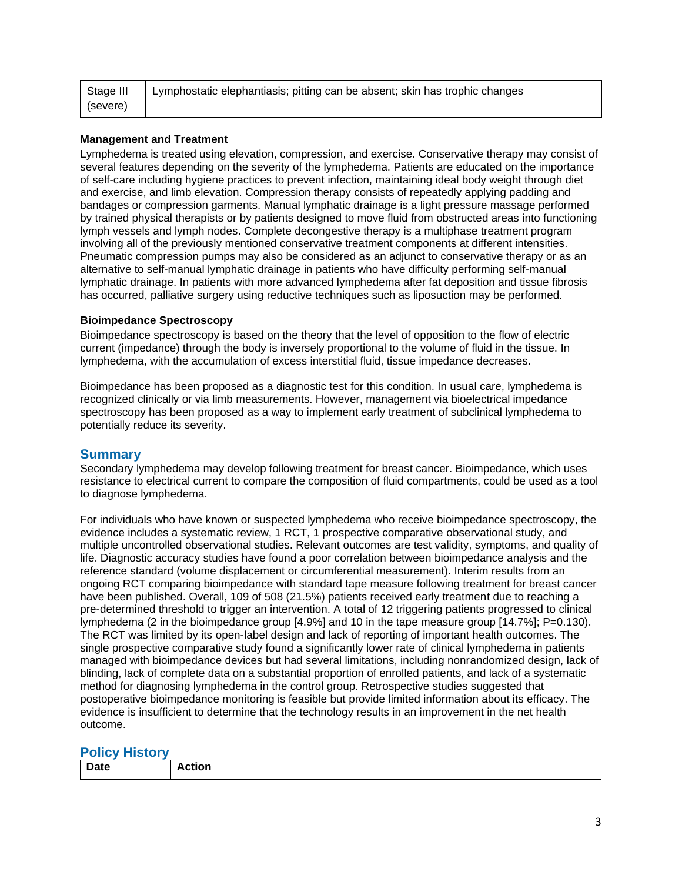| Stage III | Lymphostatic elephantiasis; pitting can be absent; skin has trophic changes |
|-----------|-----------------------------------------------------------------------------|
| (severe)  |                                                                             |

#### **Management and Treatment**

Lymphedema is treated using elevation, compression, and exercise. Conservative therapy may consist of several features depending on the severity of the lymphedema. Patients are educated on the importance of self-care including hygiene practices to prevent infection, maintaining ideal body weight through diet and exercise, and limb elevation. Compression therapy consists of repeatedly applying padding and bandages or compression garments. Manual lymphatic drainage is a light pressure massage performed by trained physical therapists or by patients designed to move fluid from obstructed areas into functioning lymph vessels and lymph nodes. Complete decongestive therapy is a multiphase treatment program involving all of the previously mentioned conservative treatment components at different intensities. Pneumatic compression pumps may also be considered as an adjunct to conservative therapy or as an alternative to self-manual lymphatic drainage in patients who have difficulty performing self-manual lymphatic drainage. In patients with more advanced lymphedema after fat deposition and tissue fibrosis has occurred, palliative surgery using reductive techniques such as liposuction may be performed.

#### **Bioimpedance Spectroscopy**

Bioimpedance spectroscopy is based on the theory that the level of opposition to the flow of electric current (impedance) through the body is inversely proportional to the volume of fluid in the tissue. In lymphedema, with the accumulation of excess interstitial fluid, tissue impedance decreases.

Bioimpedance has been proposed as a diagnostic test for this condition. In usual care, lymphedema is recognized clinically or via limb measurements. However, management via bioelectrical impedance spectroscopy has been proposed as a way to implement early treatment of subclinical lymphedema to potentially reduce its severity.

#### **Summary**

Secondary lymphedema may develop following treatment for breast cancer. Bioimpedance, which uses resistance to electrical current to compare the composition of fluid compartments, could be used as a tool to diagnose lymphedema.

For individuals who have known or suspected lymphedema who receive bioimpedance spectroscopy, the evidence includes a systematic review, 1 RCT, 1 prospective comparative observational study, and multiple uncontrolled observational studies. Relevant outcomes are test validity, symptoms, and quality of life. Diagnostic accuracy studies have found a poor correlation between bioimpedance analysis and the reference standard (volume displacement or circumferential measurement). Interim results from an ongoing RCT comparing bioimpedance with standard tape measure following treatment for breast cancer have been published. Overall, 109 of 508 (21.5%) patients received early treatment due to reaching a pre-determined threshold to trigger an intervention. A total of 12 triggering patients progressed to clinical lymphedema (2 in the bioimpedance group [4.9%] and 10 in the tape measure group [14.7%]; P=0.130). The RCT was limited by its open-label design and lack of reporting of important health outcomes. The single prospective comparative study found a significantly lower rate of clinical lymphedema in patients managed with bioimpedance devices but had several limitations, including nonrandomized design, lack of blinding, lack of complete data on a substantial proportion of enrolled patients, and lack of a systematic method for diagnosing lymphedema in the control group. Retrospective studies suggested that postoperative bioimpedance monitoring is feasible but provide limited information about its efficacy. The evidence is insufficient to determine that the technology results in an improvement in the net health outcome.

#### <span id="page-2-0"></span>**Policy History**

| <b>Date</b> | .<br> |
|-------------|-------|
|             |       |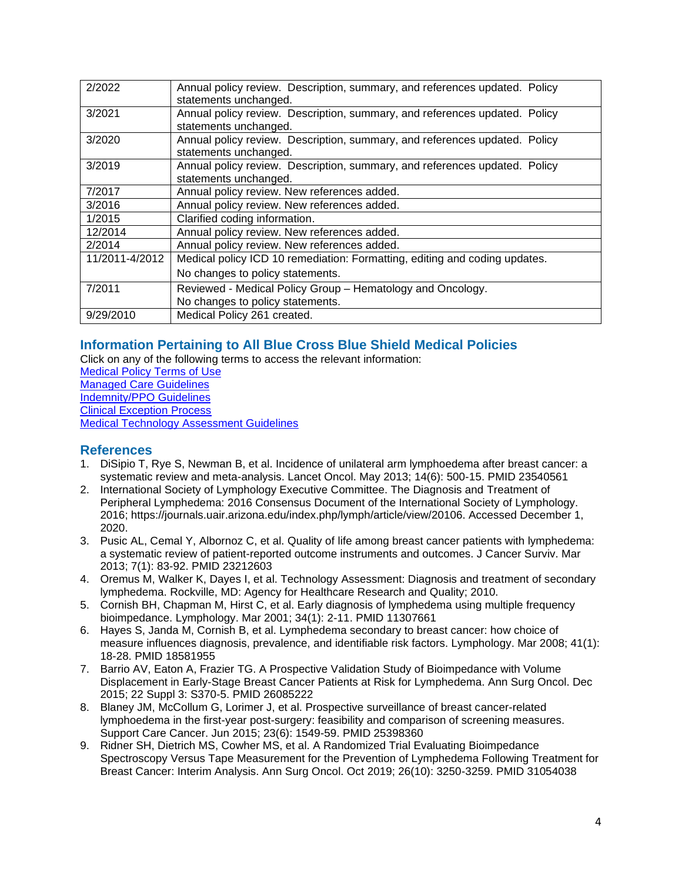| 2/2022         | Annual policy review. Description, summary, and references updated. Policy |
|----------------|----------------------------------------------------------------------------|
|                | statements unchanged.                                                      |
| 3/2021         | Annual policy review. Description, summary, and references updated. Policy |
|                | statements unchanged.                                                      |
| 3/2020         | Annual policy review. Description, summary, and references updated. Policy |
|                | statements unchanged.                                                      |
| 3/2019         | Annual policy review. Description, summary, and references updated. Policy |
|                | statements unchanged.                                                      |
| 7/2017         | Annual policy review. New references added.                                |
| 3/2016         | Annual policy review. New references added.                                |
| 1/2015         | Clarified coding information.                                              |
| 12/2014        | Annual policy review. New references added.                                |
| 2/2014         | Annual policy review. New references added.                                |
| 11/2011-4/2012 | Medical policy ICD 10 remediation: Formatting, editing and coding updates. |
|                | No changes to policy statements.                                           |
| 7/2011         | Reviewed - Medical Policy Group - Hematology and Oncology.                 |
|                | No changes to policy statements.                                           |
| 9/29/2010      | Medical Policy 261 created.                                                |

## <span id="page-3-0"></span>**Information Pertaining to All Blue Cross Blue Shield Medical Policies**

Click on any of the following terms to access the relevant information: [Medical Policy Terms of Use](http://www.bluecrossma.org/medical-policies/sites/g/files/csphws2091/files/acquiadam-assets/Medical_Policy_Terms_of_Use_prn.pdf) [Managed Care Guidelines](http://www.bluecrossma.org/medical-policies/sites/g/files/csphws2091/files/acquiadam-assets/Managed_Care_Guidelines_prn.pdf) [Indemnity/PPO Guidelines](http://www.bluecrossma.org/medical-policies/sites/g/files/csphws2091/files/acquiadam-assets/Indemnity_and_PPO_Guidelines_prn.pdf) [Clinical Exception Process](http://www.bluecrossma.org/medical-policies/sites/g/files/csphws2091/files/acquiadam-assets/Clinical_Exception_Process_prn.pdf) [Medical Technology Assessment Guidelines](http://www.bluecrossma.org/medical-policies/sites/g/files/csphws2091/files/acquiadam-assets/Medical_Technology_Assessment_Guidelines_prn.pdf)

## <span id="page-3-1"></span>**References**

- 1. DiSipio T, Rye S, Newman B, et al. Incidence of unilateral arm lymphoedema after breast cancer: a systematic review and meta-analysis. Lancet Oncol. May 2013; 14(6): 500-15. PMID 23540561
- 2. International Society of Lymphology Executive Committee. The Diagnosis and Treatment of Peripheral Lymphedema: 2016 Consensus Document of the International Society of Lymphology. 2016; https://journals.uair.arizona.edu/index.php/lymph/article/view/20106. Accessed December 1, 2020.
- 3. Pusic AL, Cemal Y, Albornoz C, et al. Quality of life among breast cancer patients with lymphedema: a systematic review of patient-reported outcome instruments and outcomes. J Cancer Surviv. Mar 2013; 7(1): 83-92. PMID 23212603
- 4. Oremus M, Walker K, Dayes I, et al. Technology Assessment: Diagnosis and treatment of secondary lymphedema. Rockville, MD: Agency for Healthcare Research and Quality; 2010.
- 5. Cornish BH, Chapman M, Hirst C, et al. Early diagnosis of lymphedema using multiple frequency bioimpedance. Lymphology. Mar 2001; 34(1): 2-11. PMID 11307661
- 6. Hayes S, Janda M, Cornish B, et al. Lymphedema secondary to breast cancer: how choice of measure influences diagnosis, prevalence, and identifiable risk factors. Lymphology. Mar 2008; 41(1): 18-28. PMID 18581955
- 7. Barrio AV, Eaton A, Frazier TG. A Prospective Validation Study of Bioimpedance with Volume Displacement in Early-Stage Breast Cancer Patients at Risk for Lymphedema. Ann Surg Oncol. Dec 2015; 22 Suppl 3: S370-5. PMID 26085222
- 8. Blaney JM, McCollum G, Lorimer J, et al. Prospective surveillance of breast cancer-related lymphoedema in the first-year post-surgery: feasibility and comparison of screening measures. Support Care Cancer. Jun 2015; 23(6): 1549-59. PMID 25398360
- 9. Ridner SH, Dietrich MS, Cowher MS, et al. A Randomized Trial Evaluating Bioimpedance Spectroscopy Versus Tape Measurement for the Prevention of Lymphedema Following Treatment for Breast Cancer: Interim Analysis. Ann Surg Oncol. Oct 2019; 26(10): 3250-3259. PMID 31054038